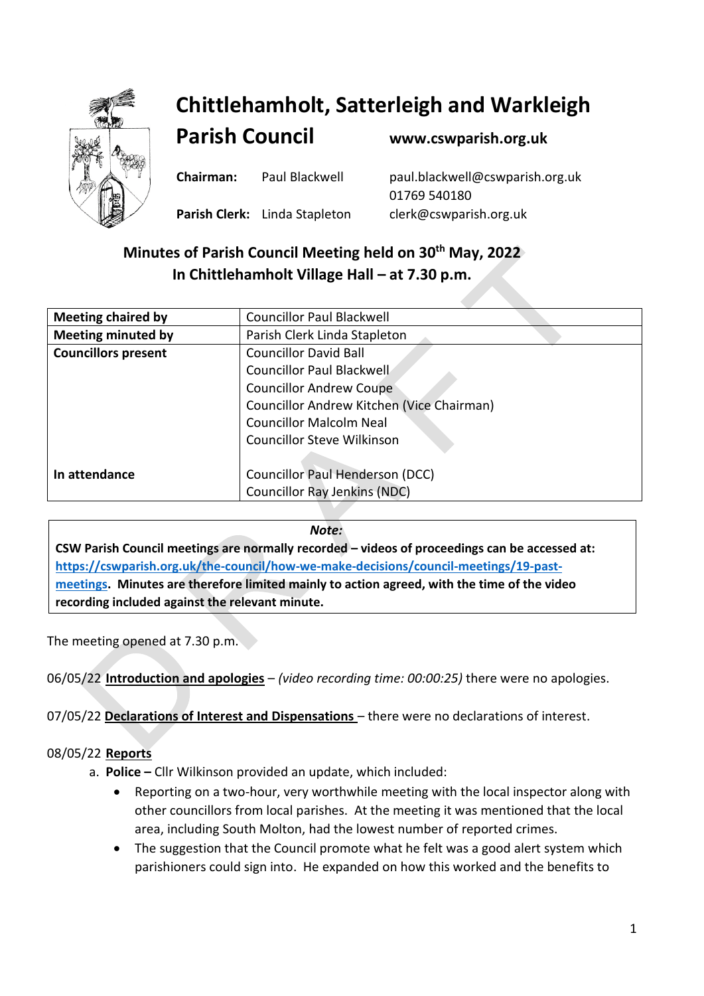

# **Chittlehamholt, Satterleigh and Warkleigh**

**Parish Council [www.cswparish.org.uk](http://www.cswparish.org.uk/)**

**Chairman:** Paul Blackwell [paul.blackwell@cswparish.org.uk](mailto:paul.blackwell@cswparish.org.uk) 01769 540180 **Parish Clerk:** Linda Stapleton [clerk@cswparish.org.uk](mailto:clerk@cswparish.org.uk)

## **Minutes of Parish Council Meeting held on 30th May, 2022 In Chittlehamholt Village Hall – at 7.30 p.m.**

| <b>Meeting chaired by</b>  | <b>Councillor Paul Blackwell</b>          |
|----------------------------|-------------------------------------------|
| <b>Meeting minuted by</b>  | Parish Clerk Linda Stapleton              |
| <b>Councillors present</b> | <b>Councillor David Ball</b>              |
|                            | Councillor Paul Blackwell                 |
|                            | <b>Councillor Andrew Coupe</b>            |
|                            | Councillor Andrew Kitchen (Vice Chairman) |
|                            | <b>Councillor Malcolm Neal</b>            |
|                            | <b>Councillor Steve Wilkinson</b>         |
|                            |                                           |
| In attendance              | Councillor Paul Henderson (DCC)           |
|                            | <b>Councillor Ray Jenkins (NDC)</b>       |

## *Note:*

**CSW Parish Council meetings are normally recorded – videos of proceedings can be accessed at: [https://cswparish.org.uk/the-council/how-we-make-decisions/council-meetings/19-past](https://cswparish.org.uk/the-council/how-we-make-decisions/council-meetings/19-past-meetings)[meetings.](https://cswparish.org.uk/the-council/how-we-make-decisions/council-meetings/19-past-meetings) Minutes are therefore limited mainly to action agreed, with the time of the video recording included against the relevant minute.**

The meeting opened at 7.30 p.m.

06/05/22 **Introduction and apologies** – *(video recording time: 00:00:25)* there were no apologies.

07/05/22 **Declarations of Interest and Dispensations** – there were no declarations of interest.

## 08/05/22 **Reports**

- a. **Police –** Cllr Wilkinson provided an update, which included:
	- Reporting on a two-hour, very worthwhile meeting with the local inspector along with other councillors from local parishes. At the meeting it was mentioned that the local area, including South Molton, had the lowest number of reported crimes.
	- The suggestion that the Council promote what he felt was a good alert system which parishioners could sign into. He expanded on how this worked and the benefits to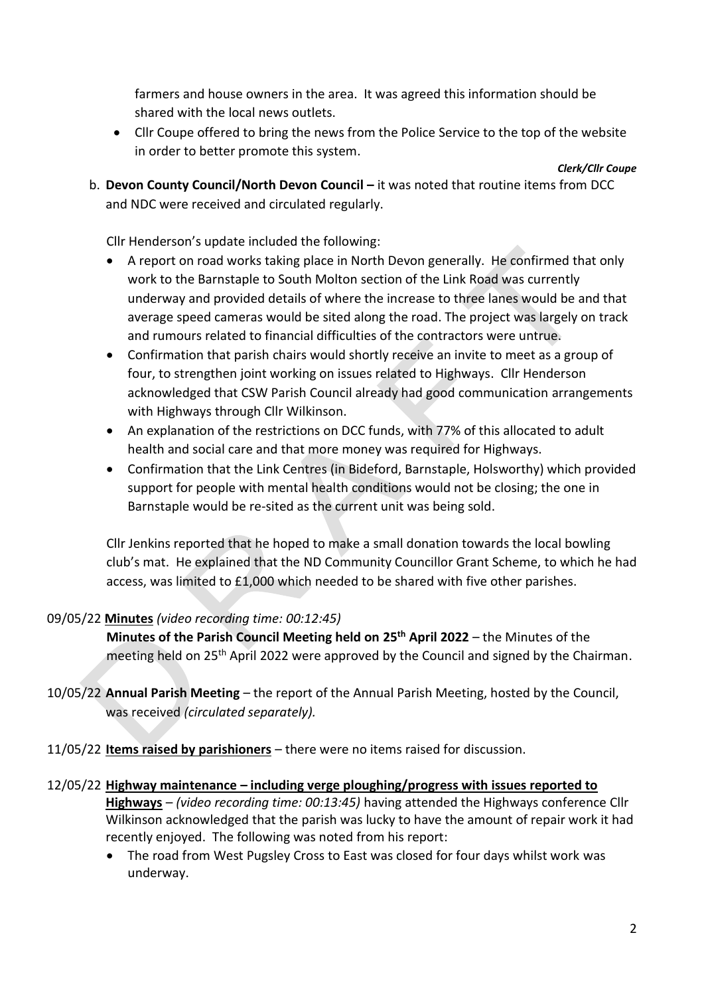farmers and house owners in the area. It was agreed this information should be shared with the local news outlets.

• Cllr Coupe offered to bring the news from the Police Service to the top of the website in order to better promote this system.

*Clerk/Cllr Coupe*

b. **Devon County Council/North Devon Council –** it was noted that routine items from DCC and NDC were received and circulated regularly.

Cllr Henderson's update included the following:

- A report on road works taking place in North Devon generally. He confirmed that only work to the Barnstaple to South Molton section of the Link Road was currently underway and provided details of where the increase to three lanes would be and that average speed cameras would be sited along the road. The project was largely on track and rumours related to financial difficulties of the contractors were untrue.
- Confirmation that parish chairs would shortly receive an invite to meet as a group of four, to strengthen joint working on issues related to Highways. Cllr Henderson acknowledged that CSW Parish Council already had good communication arrangements with Highways through Cllr Wilkinson.
- An explanation of the restrictions on DCC funds, with 77% of this allocated to adult health and social care and that more money was required for Highways.
- Confirmation that the Link Centres (in Bideford, Barnstaple, Holsworthy) which provided support for people with mental health conditions would not be closing; the one in Barnstaple would be re-sited as the current unit was being sold.

Cllr Jenkins reported that he hoped to make a small donation towards the local bowling club's mat. He explained that the ND Community Councillor Grant Scheme, to which he had access, was limited to £1,000 which needed to be shared with five other parishes.

## 09/05/22 **Minutes** *(video recording time: 00:12:45)*

**Minutes of the Parish Council Meeting held on 25th April 2022** – the Minutes of the meeting held on 25<sup>th</sup> April 2022 were approved by the Council and signed by the Chairman.

- 10/05/22 **Annual Parish Meeting** the report of the Annual Parish Meeting, hosted by the Council, was received *(circulated separately).*
- 11/05/22 **Items raised by parishioners** there were no items raised for discussion.

## 12/05/22 **Highway maintenance – including verge ploughing/progress with issues reported to**

**Highways** – *(video recording time: 00:13:45)* having attended the Highways conference Cllr Wilkinson acknowledged that the parish was lucky to have the amount of repair work it had recently enjoyed. The following was noted from his report:

• The road from West Pugsley Cross to East was closed for four days whilst work was underway.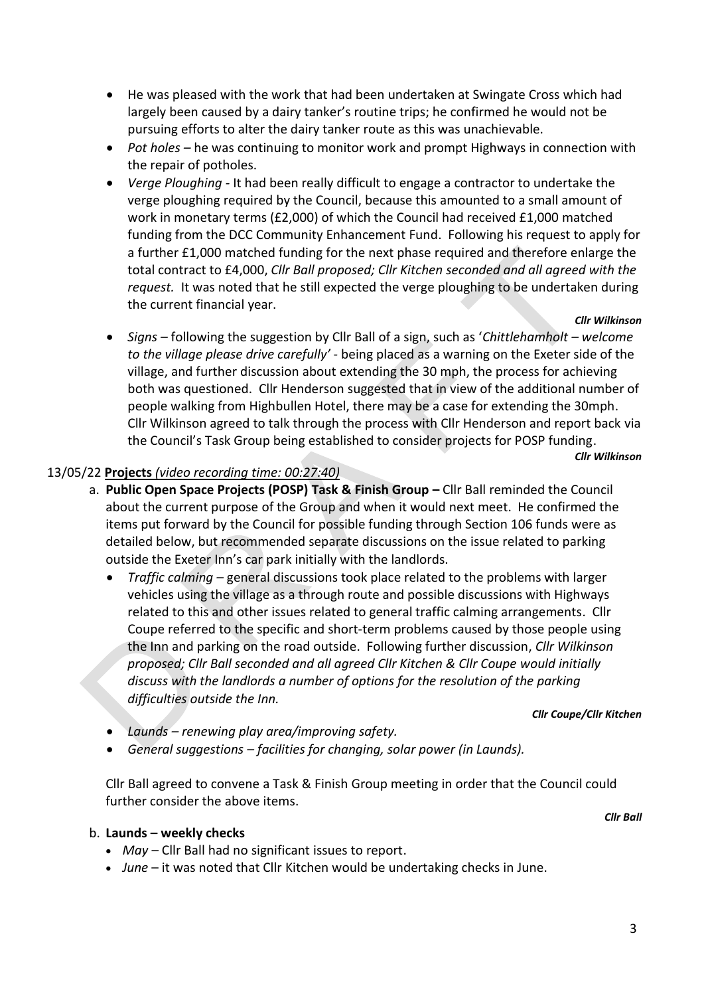- He was pleased with the work that had been undertaken at Swingate Cross which had largely been caused by a dairy tanker's routine trips; he confirmed he would not be pursuing efforts to alter the dairy tanker route as this was unachievable.
- *Pot holes* he was continuing to monitor work and prompt Highways in connection with the repair of potholes.
- *Verge Ploughing -* It had been really difficult to engage a contractor to undertake the verge ploughing required by the Council, because this amounted to a small amount of work in monetary terms (£2,000) of which the Council had received £1,000 matched funding from the DCC Community Enhancement Fund. Following his request to apply for a further £1,000 matched funding for the next phase required and therefore enlarge the total contract to £4,000, *Cllr Ball proposed; Cllr Kitchen seconded and all agreed with the request.* It was noted that he still expected the verge ploughing to be undertaken during the current financial year.

#### *Cllr Wilkinson*

• *Signs –* following the suggestion by Cllr Ball of a sign, such as '*Chittlehamholt – welcome to the village please drive carefully'* - being placed as a warning on the Exeter side of the village, and further discussion about extending the 30 mph, the process for achieving both was questioned. Cllr Henderson suggested that in view of the additional number of people walking from Highbullen Hotel, there may be a case for extending the 30mph. Cllr Wilkinson agreed to talk through the process with Cllr Henderson and report back via the Council's Task Group being established to consider projects for POSP funding.

#### *Cllr Wilkinson*

#### 13/05/22 **Projects** *(video recording time: 00:27:40)*

- a. **Public Open Space Projects (POSP) Task & Finish Group –** Cllr Ball reminded the Council about the current purpose of the Group and when it would next meet. He confirmed the items put forward by the Council for possible funding through Section 106 funds were as detailed below, but recommended separate discussions on the issue related to parking outside the Exeter Inn's car park initially with the landlords.
	- *Traffic calming –* general discussions took place related to the problems with larger vehicles using the village as a through route and possible discussions with Highways related to this and other issues related to general traffic calming arrangements. Cllr Coupe referred to the specific and short-term problems caused by those people using the Inn and parking on the road outside. Following further discussion, *Cllr Wilkinson proposed; Cllr Ball seconded and all agreed Cllr Kitchen & Cllr Coupe would initially discuss with the landlords a number of options for the resolution of the parking difficulties outside the Inn.*

*Cllr Coupe/Cllr Kitchen*

- *Launds – renewing play area/improving safety.*
- *General suggestions – facilities for changing, solar power (in Launds).*

Cllr Ball agreed to convene a Task & Finish Group meeting in order that the Council could further consider the above items.

*Cllr Ball*

#### b. **Launds – weekly checks**

- *May –* Cllr Ball had no significant issues to report.
- *June* it was noted that Cllr Kitchen would be undertaking checks in June.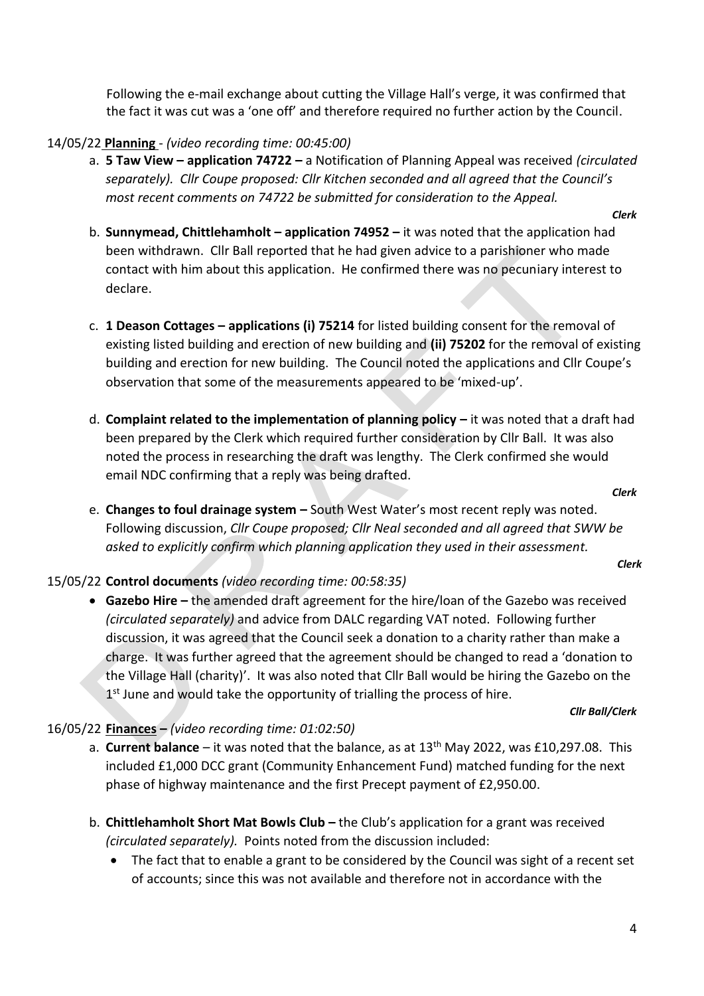Following the e-mail exchange about cutting the Village Hall's verge, it was confirmed that the fact it was cut was a 'one off' and therefore required no further action by the Council.

## 14/05/22 **Planning** - *(video recording time: 00:45:00)*

- a. **5 Taw View – application 74722 –** a Notification of Planning Appeal was received *(circulated separately). Cllr Coupe proposed: Cllr Kitchen seconded and all agreed that the Council's most recent comments on 74722 be submitted for consideration to the Appeal.*
	- *Clerk*
- b. **Sunnymead, Chittlehamholt – application 74952 –** it was noted that the application had been withdrawn. Cllr Ball reported that he had given advice to a parishioner who made contact with him about this application. He confirmed there was no pecuniary interest to declare.
- c. **1 Deason Cottages – applications (i) 75214** for listed building consent for the removal of existing listed building and erection of new building and **(ii) 75202** for the removal of existing building and erection for new building. The Council noted the applications and Cllr Coupe's observation that some of the measurements appeared to be 'mixed-up'.
- d. **Complaint related to the implementation of planning policy it was noted that a draft had** been prepared by the Clerk which required further consideration by Cllr Ball. It was also noted the process in researching the draft was lengthy. The Clerk confirmed she would email NDC confirming that a reply was being drafted.

*Clerk*

e. **Changes to foul drainage system –** South West Water's most recent reply was noted. Following discussion, *Cllr Coupe proposed; Cllr Neal seconded and all agreed that SWW be asked to explicitly confirm which planning application they used in their assessment.*

*Clerk*

## 15/05/22 **Control documents** *(video recording time: 00:58:35)*

• Gazebo Hire – the amended draft agreement for the hire/loan of the Gazebo was received *(circulated separately)* and advice from DALC regarding VAT noted. Following further discussion, it was agreed that the Council seek a donation to a charity rather than make a charge. It was further agreed that the agreement should be changed to read a 'donation to the Village Hall (charity)'. It was also noted that Cllr Ball would be hiring the Gazebo on the 1<sup>st</sup> June and would take the opportunity of trialling the process of hire.

#### *Cllr Ball/Clerk*

## 16/05/22 **Finances –** *(video recording time: 01:02:50)*

- a. **Current balance** it was noted that the balance, as at 13<sup>th</sup> May 2022, was £10,297.08. This included £1,000 DCC grant (Community Enhancement Fund) matched funding for the next phase of highway maintenance and the first Precept payment of £2,950.00.
- b. **Chittlehamholt Short Mat Bowls Club –** the Club's application for a grant was received *(circulated separately).* Points noted from the discussion included:
	- The fact that to enable a grant to be considered by the Council was sight of a recent set of accounts; since this was not available and therefore not in accordance with the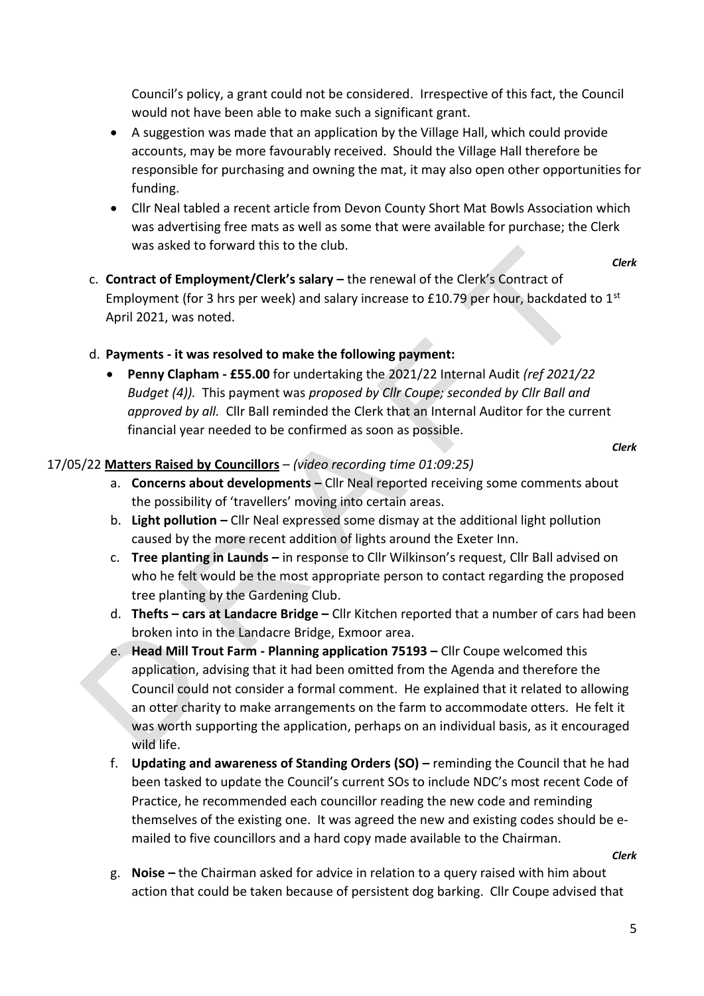Council's policy, a grant could not be considered. Irrespective of this fact, the Council would not have been able to make such a significant grant.

- A suggestion was made that an application by the Village Hall, which could provide accounts, may be more favourably received. Should the Village Hall therefore be responsible for purchasing and owning the mat, it may also open other opportunities for funding.
- Cllr Neal tabled a recent article from Devon County Short Mat Bowls Association which was advertising free mats as well as some that were available for purchase; the Clerk was asked to forward this to the club.

*Clerk*

c. **Contract of Employment/Clerk's salary –** the renewal of the Clerk's Contract of Employment (for 3 hrs per week) and salary increase to £10.79 per hour, backdated to  $1^{st}$ April 2021, was noted.

## d. **Payments - it was resolved to make the following payment:**

• **Penny Clapham - £55.00** for undertaking the 2021/22 Internal Audit *(ref 2021/22 Budget (4)).* This payment was *proposed by Cllr Coupe; seconded by Cllr Ball and approved by all.* Cllr Ball reminded the Clerk that an Internal Auditor for the current financial year needed to be confirmed as soon as possible.

*Clerk*

## 17/05/22 **Matters Raised by Councillors** – *(video recording time 01:09:25)*

- a. **Concerns about developments –** Cllr Neal reported receiving some comments about the possibility of 'travellers' moving into certain areas.
- b. **Light pollution –** Cllr Neal expressed some dismay at the additional light pollution caused by the more recent addition of lights around the Exeter Inn.
- c. **Tree planting in Launds –** in response to Cllr Wilkinson's request, Cllr Ball advised on who he felt would be the most appropriate person to contact regarding the proposed tree planting by the Gardening Club.
- d. **Thefts – cars at Landacre Bridge –** Cllr Kitchen reported that a number of cars had been broken into in the Landacre Bridge, Exmoor area.
- e. **Head Mill Trout Farm - Planning application 75193 –** Cllr Coupe welcomed this application, advising that it had been omitted from the Agenda and therefore the Council could not consider a formal comment. He explained that it related to allowing an otter charity to make arrangements on the farm to accommodate otters. He felt it was worth supporting the application, perhaps on an individual basis, as it encouraged wild life.
- f. **Updating and awareness of Standing Orders (SO) –** reminding the Council that he had been tasked to update the Council's current SOs to include NDC's most recent Code of Practice, he recommended each councillor reading the new code and reminding themselves of the existing one. It was agreed the new and existing codes should be emailed to five councillors and a hard copy made available to the Chairman.

*Clerk*

g. **Noise –** the Chairman asked for advice in relation to a query raised with him about action that could be taken because of persistent dog barking. Cllr Coupe advised that